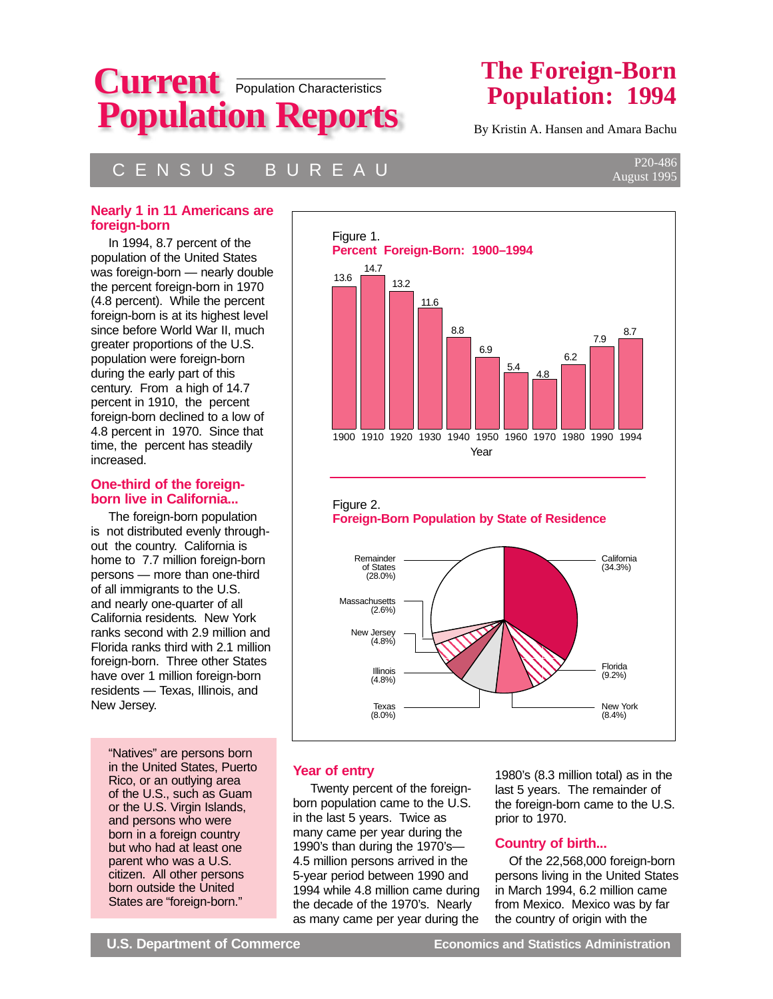

# **The Foreign-Born Population: 1994**

By Kristin A. Hansen and Amara Bachu

# C E N S U S B U R E A U

#### **Nearly 1 in 11 Americans are foreign-born**

 In 1994, 8.7 percent of the population of the United States was foreign-born — nearly double the percent foreign-born in 1970 (4.8 percent). While the percent foreign-born is at its highest level since before World War II, much greater proportions of the U.S. population were foreign-born during the early part of this century. From a high of 14.7 percent in 1910, the percent foreign-born declined to a low of 4.8 percent in 1970. Since that time, the percent has steadily increased.

#### **One-third of the foreignborn live in California...**

 The foreign-born population is not distributed evenly throughout the country. California is home to 7.7 million foreign-born persons — more than one-third of all immigrants to the U.S. and nearly one-quarter of all California residents. New York ranks second with 2.9 million and Florida ranks third with 2.1 million foreign-born. Three other States have over 1 million foreign-born residents — Texas, Illinois, and New Jersey.

"Natives" are persons born in the United States, Puerto Rico, or an outlying area of the U.S., such as Guam or the U.S. Virgin Islands, and persons who were born in a foreign country but who had at least one parent who was a U.S. citizen. All other persons born outside the United States are "foreign-born."



## **Year of entry**

 Twenty percent of the foreignborn population came to the U.S. in the last 5 years. Twice as many came per year during the 1990's than during the 1970's— 4.5 million persons arrived in the 5-year period between 1990 and 1994 while 4.8 million came during the decade of the 1970's. Nearly as many came per year during the

Texas (8.0%)

> 1980's (8.3 million total) as in the last 5 years. The remainder of the foreign-born came to the U.S. prior to 1970.

New York (8.4%)

,我们的人们就是一个人的人,我们就是一个人的人,我们就是一个人的人,我们就是一个人的人,我们就是一个人的人,我们就是一个人的人,我们就是一个人的人,我们就是一个人

## **Country of birth...**

 Of the 22,568,000 foreign-born persons living in the United States in March 1994, 6.2 million came from Mexico. Mexico was by far the country of origin with the

P20-486 August 1995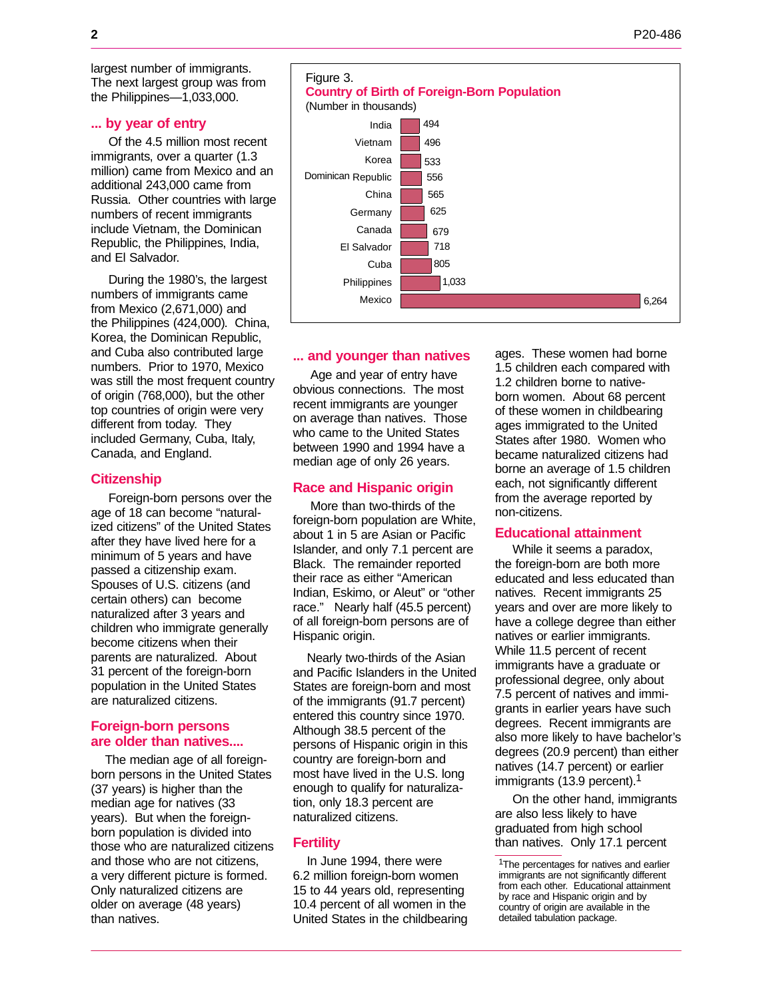largest number of immigrants. The next largest group was from the Philippines—1,033,000.

#### **... by year of entry**

 Of the 4.5 million most recent immigrants, over a quarter (1.3 million) came from Mexico and an additional 243,000 came from Russia. Other countries with large numbers of recent immigrants include Vietnam, the Dominican Republic, the Philippines, India, and El Salvador.

 During the 1980's, the largest numbers of immigrants came from Mexico (2,671,000) and the Philippines (424,000). China, Korea, the Dominican Republic, and Cuba also contributed large numbers. Prior to 1970, Mexico was still the most frequent country of origin (768,000), but the other top countries of origin were very different from today. They included Germany, Cuba, Italy, Canada, and England.

#### **Citizenship**

 Foreign-born persons over the age of 18 can become "naturalized citizens" of the United States after they have lived here for a minimum of 5 years and have passed a citizenship exam. Spouses of U.S. citizens (and certain others) can become naturalized after 3 years and children who immigrate generally become citizens when their parents are naturalized. About 31 percent of the foreign-born population in the United States are naturalized citizens.

#### **Foreign-born persons are older than natives....**

 The median age of all foreignborn persons in the United States (37 years) is higher than the median age for natives (33 years). But when the foreignborn population is divided into those who are naturalized citizens and those who are not citizens, a very different picture is formed. Only naturalized citizens are older on average (48 years) than natives.



#### **... and younger than natives**

 Age and year of entry have obvious connections. The most recent immigrants are younger on average than natives. Those who came to the United States between 1990 and 1994 have a median age of only 26 years.

#### **Race and Hispanic origin**

 More than two-thirds of the foreign-born population are White, about 1 in 5 are Asian or Pacific Islander, and only 7.1 percent are Black. The remainder reported their race as either "American Indian, Eskimo, or Aleut" or "other race." Nearly half (45.5 percent) of all foreign-born persons are of Hispanic origin.

 Nearly two-thirds of the Asian and Pacific Islanders in the United States are foreign-born and most of the immigrants (91.7 percent) entered this country since 1970. Although 38.5 percent of the persons of Hispanic origin in this country are foreign-born and most have lived in the U.S. long enough to qualify for naturalization, only 18.3 percent are naturalized citizens.

#### **Fertility**

 In June 1994, there were 6.2 million foreign-born women 15 to 44 years old, representing 10.4 percent of all women in the United States in the childbearing ages. These women had borne 1.5 children each compared with 1.2 children borne to nativeborn women. About 68 percent of these women in childbearing ages immigrated to the United States after 1980. Women who became naturalized citizens had borne an average of 1.5 children each, not significantly different from the average reported by non-citizens.

#### **Educational attainment**

 While it seems a paradox, the foreign-born are both more educated and less educated than natives. Recent immigrants 25 years and over are more likely to have a college degree than either natives or earlier immigrants. While 11.5 percent of recent immigrants have a graduate or professional degree, only about 7.5 percent of natives and immigrants in earlier years have such degrees. Recent immigrants are also more likely to have bachelor's degrees (20.9 percent) than either natives (14.7 percent) or earlier immigrants (13.9 percent).<sup>1</sup>

 On the other hand, immigrants are also less likely to have graduated from high school than natives. Only 17.1 percent

<sup>&</sup>lt;sup>1</sup>The percentages for natives and earlier immigrants are not significantly different from each other. Educational attainment by race and Hispanic origin and by country of origin are available in the detailed tabulation package.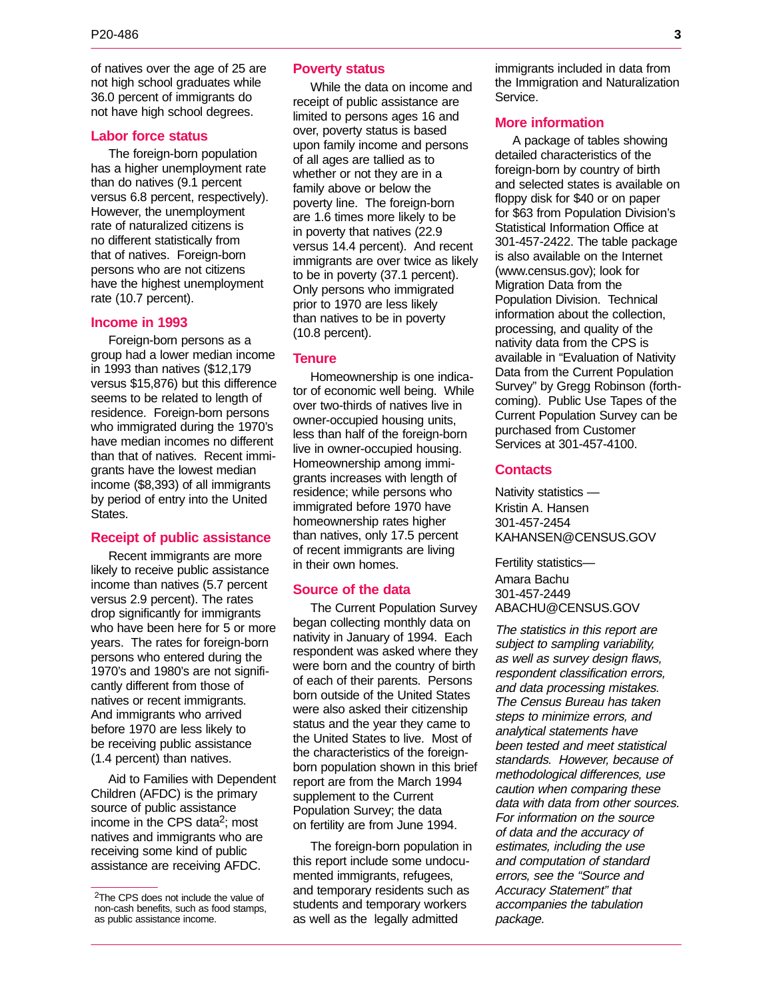of natives over the age of 25 are not high school graduates while 36.0 percent of immigrants do not have high school degrees.

#### **Labor force status**

 The foreign-born population has a higher unemployment rate than do natives (9.1 percent versus 6.8 percent, respectively). However, the unemployment rate of naturalized citizens is no different statistically from that of natives. Foreign-born persons who are not citizens have the highest unemployment rate (10.7 percent).

#### **Income in 1993**

 Foreign-born persons as a group had a lower median income in 1993 than natives (\$12,179 versus \$15,876) but this difference seems to be related to length of residence. Foreign-born persons who immigrated during the 1970's have median incomes no different than that of natives. Recent immigrants have the lowest median income (\$8,393) of all immigrants by period of entry into the United States.

#### **Receipt of public assistance**

 Recent immigrants are more likely to receive public assistance income than natives (5.7 percent versus 2.9 percent). The rates drop significantly for immigrants who have been here for 5 or more years. The rates for foreign-born persons who entered during the 1970's and 1980's are not significantly different from those of natives or recent immigrants. And immigrants who arrived before 1970 are less likely to be receiving public assistance (1.4 percent) than natives.

 Aid to Families with Dependent Children (AFDC) is the primary source of public assistance income in the CPS data<sup>2</sup>; most natives and immigrants who are receiving some kind of public assistance are receiving AFDC.

#### **Poverty status**

 While the data on income and receipt of public assistance are limited to persons ages 16 and over, poverty status is based upon family income and persons of all ages are tallied as to whether or not they are in a family above or below the poverty line. The foreign-born are 1.6 times more likely to be in poverty that natives (22.9 versus 14.4 percent). And recent immigrants are over twice as likely to be in poverty (37.1 percent). Only persons who immigrated prior to 1970 are less likely than natives to be in poverty (10.8 percent).

#### **Tenure**

 Homeownership is one indicator of economic well being. While over two-thirds of natives live in owner-occupied housing units, less than half of the foreign-born live in owner-occupied housing. Homeownership among immigrants increases with length of residence; while persons who immigrated before 1970 have homeownership rates higher than natives, only 17.5 percent of recent immigrants are living in their own homes.

#### **Source of the data**

 The Current Population Survey began collecting monthly data on nativity in January of 1994. Each respondent was asked where they were born and the country of birth of each of their parents. Persons born outside of the United States were also asked their citizenship status and the year they came to the United States to live. Most of the characteristics of the foreignborn population shown in this brief report are from the March 1994 supplement to the Current Population Survey; the data on fertility are from June 1994.

 The foreign-born population in this report include some undocumented immigrants, refugees, and temporary residents such as students and temporary workers as well as the legally admitted

immigrants included in data from the Immigration and Naturalization Service.

#### **More information**

 A package of tables showing detailed characteristics of the foreign-born by country of birth and selected states is available on floppy disk for \$40 or on paper for \$63 from Population Division's Statistical Information Office at 301-457-2422. The table package is also available on the Internet (www.census.gov); look for Migration Data from the Population Division. Technical information about the collection, processing, and quality of the nativity data from the CPS is available in "Evaluation of Nativity Data from the Current Population Survey" by Gregg Robinson (forthcoming). Public Use Tapes of the Current Population Survey can be purchased from Customer Services at 301-457-4100.

#### **Contacts**

Nativity statistics — Kristin A. Hansen 301-457-2454 KAHANSEN@CENSUS.GOV

Fertility statistics— Amara Bachu 301-457-2449 ABACHU@CENSUS.GOV

The statistics in this report are subject to sampling variability, <sup>a</sup>s well as survey design flaws, respondent classification errors, and data processing mistakes. The Census Bureau has taken steps to minimize errors, and analytical statements hav<sup>e</sup> been tested and meet statistical standards. However, because of methodological differences, use caution when comparing these data with data from other sources. For information on the source <sup>o</sup>f data and the accuracy of estimates, including the us<sup>e</sup> and computation of standard errors, see the "Source and Accuracy Statement" that accompanies the tabulatio<sup>n</sup> package.

<sup>2</sup>The CPS does not include the value of non-cash benefits, such as food stamps, as public assistance income.